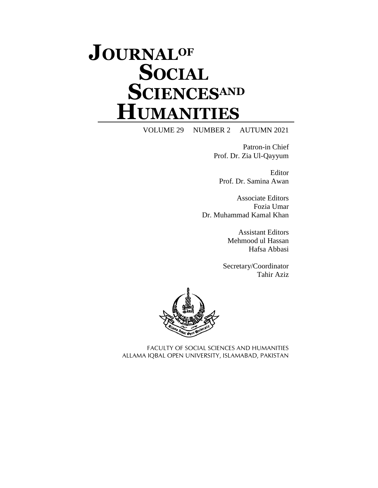## **JOURNALOF SOCIAL SCIENCESAND HUMANITIES**

VOLUME 29 NUMBER 2 AUTUMN 2021

Patron-in Chief Prof. Dr. Zia Ul-Qayyum

Editor Prof. Dr. Samina Awan

Associate Editors Fozia Umar Dr. Muhammad Kamal Khan

> Assistant Editors Mehmood ul Hassan Hafsa Abbasi

Secretary/Coordinator Tahir Aziz



FACULTY OF SOCIAL SCIENCES AND HUMANITIES ALLAMA IQBAL OPEN UNIVERSITY, ISLAMABAD, PAKISTAN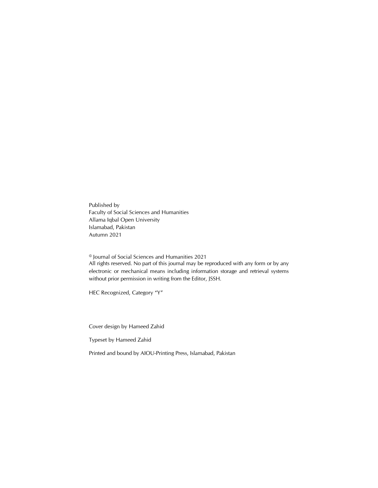Published by Faculty of Social Sciences and Humanities Allama Iqbal Open University Islamabad, Pakistan Autumn 2021

© Journal of Social Sciences and Humanities 2021 All rights reserved. No part of this journal may be reproduced with any form or by any electronic or mechanical means including information storage and retrieval systems without prior permission in writing from the Editor, JSSH*.*

HEC Recognized, Category "Y"

Cover design by Hameed Zahid

Typeset by Hameed Zahid

Printed and bound by AIOU-Printing Press, Islamabad, Pakistan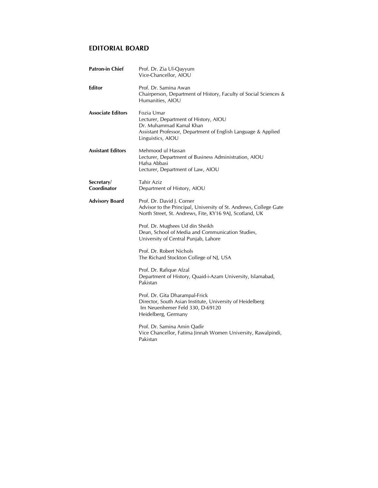## **EDITORIAL BOARD**

| <b>Patron-in Chief</b>    | Prof. Dr. Zia Ul-Qayyum<br>Vice-Chancellor, AIOU                                                                                                                     |
|---------------------------|----------------------------------------------------------------------------------------------------------------------------------------------------------------------|
| Editor                    | Prof. Dr. Samina Awan<br>Chairperson, Department of History, Faculty of Social Sciences &<br>Humanities, AIOU                                                        |
| <b>Associate Editors</b>  | Fozia Umar<br>Lecturer, Department of History, AIOU<br>Dr. Muhammad Kamal Khan<br>Assistant Professor, Department of English Language & Applied<br>Linguistics, AIOU |
| <b>Assistant Editors</b>  | Mehmood ul Hassan<br>Lecturer, Department of Business Administration, AIOU<br>Hafsa Abbasi<br>Lecturer, Department of Law, AIOU                                      |
| Secretary/<br>Coordinator | Tahir Aziz<br>Department of History, AIOU                                                                                                                            |
| <b>Advisory Board</b>     | Prof. Dr. David J. Corner<br>Advisor to the Principal, University of St. Andrews, College Gate<br>North Street, St. Andrews, Fite, KY16 9AJ, Scotland, UK            |
|                           | Prof. Dr. Mughees Ud din Sheikh<br>Dean, School of Media and Communication Studies,<br>University of Central Punjab, Lahore                                          |
|                           | Prof. Dr. Robert Nichols<br>The Richard Stockton College of NJ, USA                                                                                                  |
|                           | Prof. Dr. Rafique Afzal<br>Department of History, Quaid-i-Azam University, Islamabad,<br>Pakistan                                                                    |
|                           | Prof. Dr. Gita Dharampal-Frick<br>Director, South Asian Institute, University of Heidelberg<br>Im Neuenhemer Feld 330, D-69120<br>Heidelberg, Germany                |
|                           | Prof. Dr. Samina Amin Qadir<br>Vice Chancellor, Fatima Jinnah Women University, Rawalpindi,<br>Pakistan                                                              |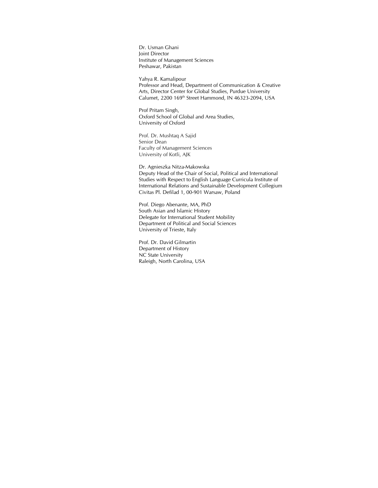Dr. Usman Ghani Joint Director Institute of Management Sciences Peshawar, Pakistan

Yahya R. Kamalipour Professor and Head, Department of Communication & Creative Arts, Director Center for Global Studies, Purdue University Calumet, 2200 169th Street Hammond, IN 46323-2094, USA

Prof Pritam Singh, Oxford School of Global and Area Studies, University of Oxford

Prof. Dr. Mushtaq A Sajid Senior Dean Faculty of Management Sciences University of Kotli, AJK

Dr. Agnieszka Nitza-Makowska Deputy Head of the Chair of Social, Political and International Studies with Respect to English Language Curricula Institute of International Relations and Sustainable Development Collegium Civitas Pl. Defilad 1, 00-901 Warsaw, Poland

Prof. Diego Abenante, MA, PhD South Asian and Islamic History Delegate for International Student Mobility Department of Political and Social Sciences University of Trieste, Italy

Prof. Dr. David Gilmartin Department of History NC State University Raleigh, North Carolina, USA